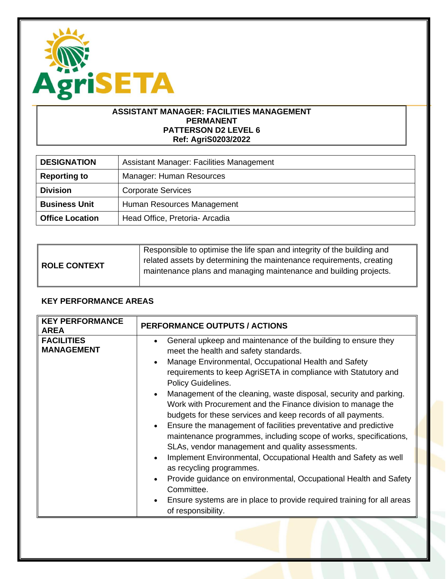

### **ASSISTANT MANAGER: FACILITIES MANAGEMENT PERMANENT PATTERSON D2 LEVEL 6 Ref: AgriS0203/2022**

| <b>DESIGNATION</b>     | <b>Assistant Manager: Facilities Management</b> |
|------------------------|-------------------------------------------------|
| <b>Reporting to</b>    | Manager: Human Resources                        |
| <b>Division</b>        | <b>Corporate Services</b>                       |
| <b>Business Unit</b>   | Human Resources Management                      |
| <b>Office Location</b> | Head Office, Pretoria- Arcadia                  |

| ROLE CONTEXT | Responsible to optimise the life span and integrity of the building and<br>related assets by determining the maintenance requirements, creating |
|--------------|-------------------------------------------------------------------------------------------------------------------------------------------------|
|              | maintenance plans and managing maintenance and building projects.                                                                               |

## **KEY PERFORMANCE AREAS**

| <b>KEY PERFORMANCE</b><br><b>AREA</b>  | <b>PERFORMANCE OUTPUTS / ACTIONS</b>                                                                                                                                                                                                                                                                                                                                                                                                                                                                                                                                                                                                                                                                                                                                                                                                                                                                                                                                                                                                 |
|----------------------------------------|--------------------------------------------------------------------------------------------------------------------------------------------------------------------------------------------------------------------------------------------------------------------------------------------------------------------------------------------------------------------------------------------------------------------------------------------------------------------------------------------------------------------------------------------------------------------------------------------------------------------------------------------------------------------------------------------------------------------------------------------------------------------------------------------------------------------------------------------------------------------------------------------------------------------------------------------------------------------------------------------------------------------------------------|
| <b>FACILITIES</b><br><b>MANAGEMENT</b> | General upkeep and maintenance of the building to ensure they<br>$\bullet$<br>meet the health and safety standards.<br>Manage Environmental, Occupational Health and Safety<br>$\bullet$<br>requirements to keep AgriSETA in compliance with Statutory and<br>Policy Guidelines.<br>Management of the cleaning, waste disposal, security and parking.<br>$\bullet$<br>Work with Procurement and the Finance division to manage the<br>budgets for these services and keep records of all payments.<br>Ensure the management of facilities preventative and predictive<br>$\bullet$<br>maintenance programmes, including scope of works, specifications,<br>SLAs, vendor management and quality assessments.<br>Implement Environmental, Occupational Health and Safety as well<br>$\bullet$<br>as recycling programmes.<br>Provide guidance on environmental, Occupational Health and Safety<br>$\bullet$<br>Committee.<br>Ensure systems are in place to provide required training for all areas<br>$\bullet$<br>of responsibility. |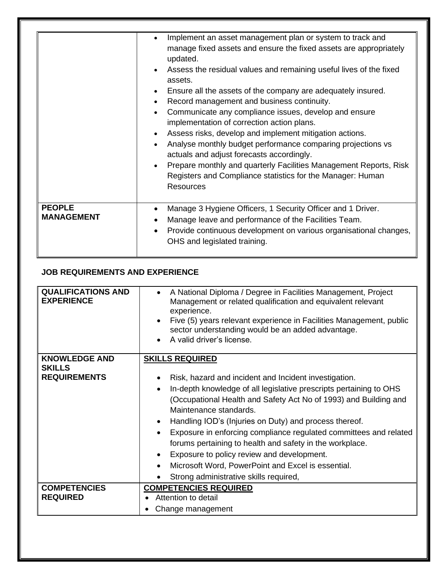|                                    | Implement an asset management plan or system to track and<br>manage fixed assets and ensure the fixed assets are appropriately<br>updated.<br>Assess the residual values and remaining useful lives of the fixed<br>assets.<br>Ensure all the assets of the company are adequately insured.<br>Record management and business continuity.<br>Communicate any compliance issues, develop and ensure<br>implementation of correction action plans.<br>Assess risks, develop and implement mitigation actions.<br>Analyse monthly budget performance comparing projections vs<br>actuals and adjust forecasts accordingly.<br>Prepare monthly and quarterly Facilities Management Reports, Risk<br>Registers and Compliance statistics for the Manager: Human<br><b>Resources</b> |
|------------------------------------|--------------------------------------------------------------------------------------------------------------------------------------------------------------------------------------------------------------------------------------------------------------------------------------------------------------------------------------------------------------------------------------------------------------------------------------------------------------------------------------------------------------------------------------------------------------------------------------------------------------------------------------------------------------------------------------------------------------------------------------------------------------------------------|
| <b>PEOPLE</b><br><b>MANAGEMENT</b> | Manage 3 Hygiene Officers, 1 Security Officer and 1 Driver.<br>Manage leave and performance of the Facilities Team.<br>Provide continuous development on various organisational changes,<br>OHS and legislated training.                                                                                                                                                                                                                                                                                                                                                                                                                                                                                                                                                       |

# **JOB REQUIREMENTS AND EXPERIENCE**

| <b>QUALIFICATIONS AND</b><br><b>EXPERIENCE</b> | A National Diploma / Degree in Facilities Management, Project<br>Management or related qualification and equivalent relevant<br>experience.<br>Five (5) years relevant experience in Facilities Management, public<br>sector understanding would be an added advantage.<br>A valid driver's license.                                                                                                                                                                                                                                                               |
|------------------------------------------------|--------------------------------------------------------------------------------------------------------------------------------------------------------------------------------------------------------------------------------------------------------------------------------------------------------------------------------------------------------------------------------------------------------------------------------------------------------------------------------------------------------------------------------------------------------------------|
| <b>KNOWLEDGE AND</b>                           | <b>SKILLS REQUIRED</b>                                                                                                                                                                                                                                                                                                                                                                                                                                                                                                                                             |
| <b>SKILLS</b><br><b>REQUIREMENTS</b>           | Risk, hazard and incident and Incident investigation.<br>In-depth knowledge of all legislative prescripts pertaining to OHS<br>(Occupational Health and Safety Act No of 1993) and Building and<br>Maintenance standards.<br>Handling IOD's (Injuries on Duty) and process thereof.<br>Exposure in enforcing compliance regulated committees and related<br>forums pertaining to health and safety in the workplace.<br>Exposure to policy review and development.<br>Microsoft Word, PowerPoint and Excel is essential.<br>Strong administrative skills required, |
| <b>COMPETENCIES</b><br><b>REQUIRED</b>         | <b>COMPETENCIES REQUIRED</b><br>Attention to detail                                                                                                                                                                                                                                                                                                                                                                                                                                                                                                                |
|                                                | Change management                                                                                                                                                                                                                                                                                                                                                                                                                                                                                                                                                  |